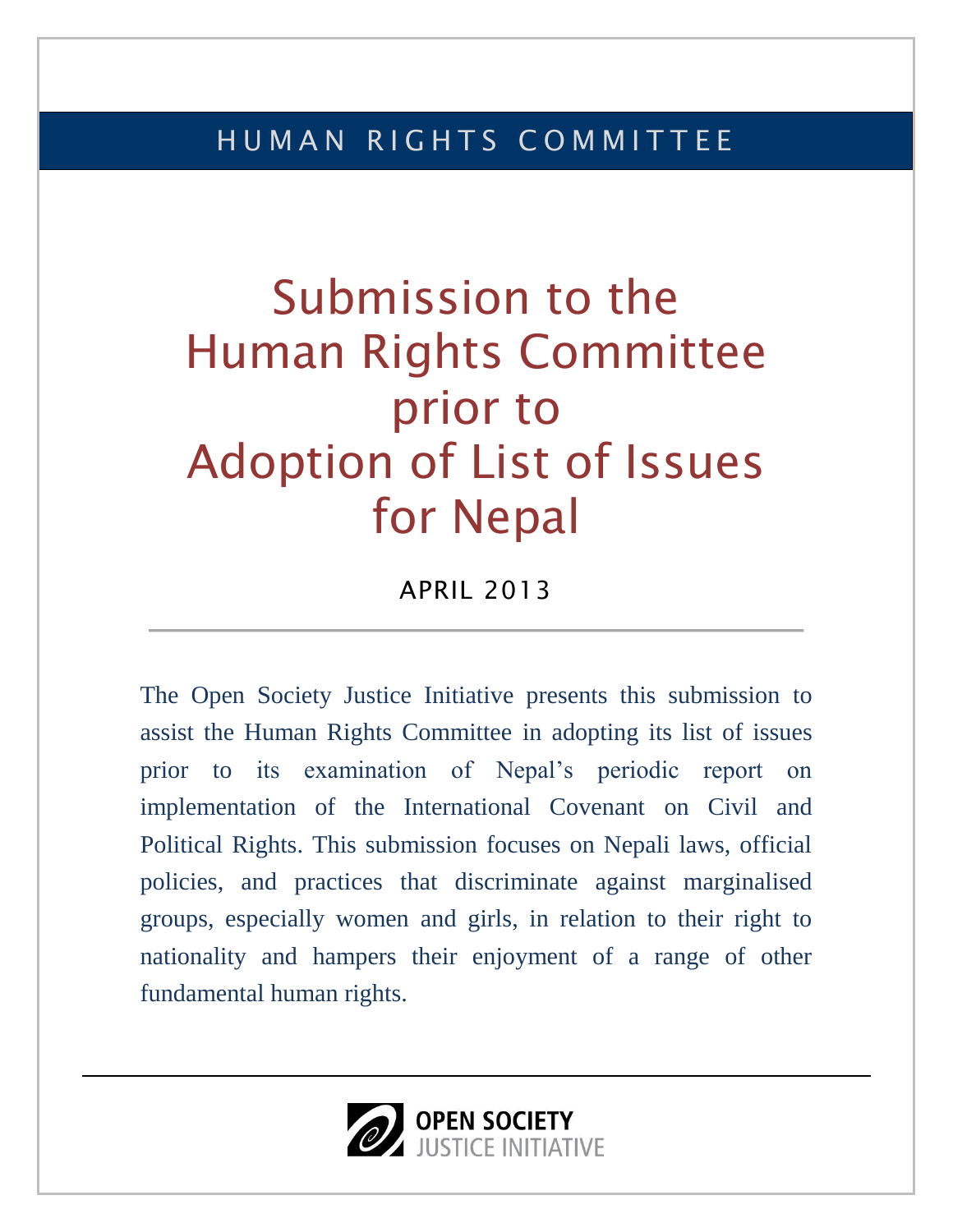# Submission to the Human Rights Committee prior to Adoption of List of Issues for Nepal

APRIL 2013

The Open Society Justice Initiative presents this submission to assist the Human Rights Committee in adopting its list of issues prior to its examination of Nepal's periodic report on implementation of the International Covenant on Civil and Political Rights. This submission focuses on Nepali laws, official policies, and practices that discriminate against marginalised groups, especially women and girls, in relation to their right to nationality and hampers their enjoyment of a range of other fundamental human rights.

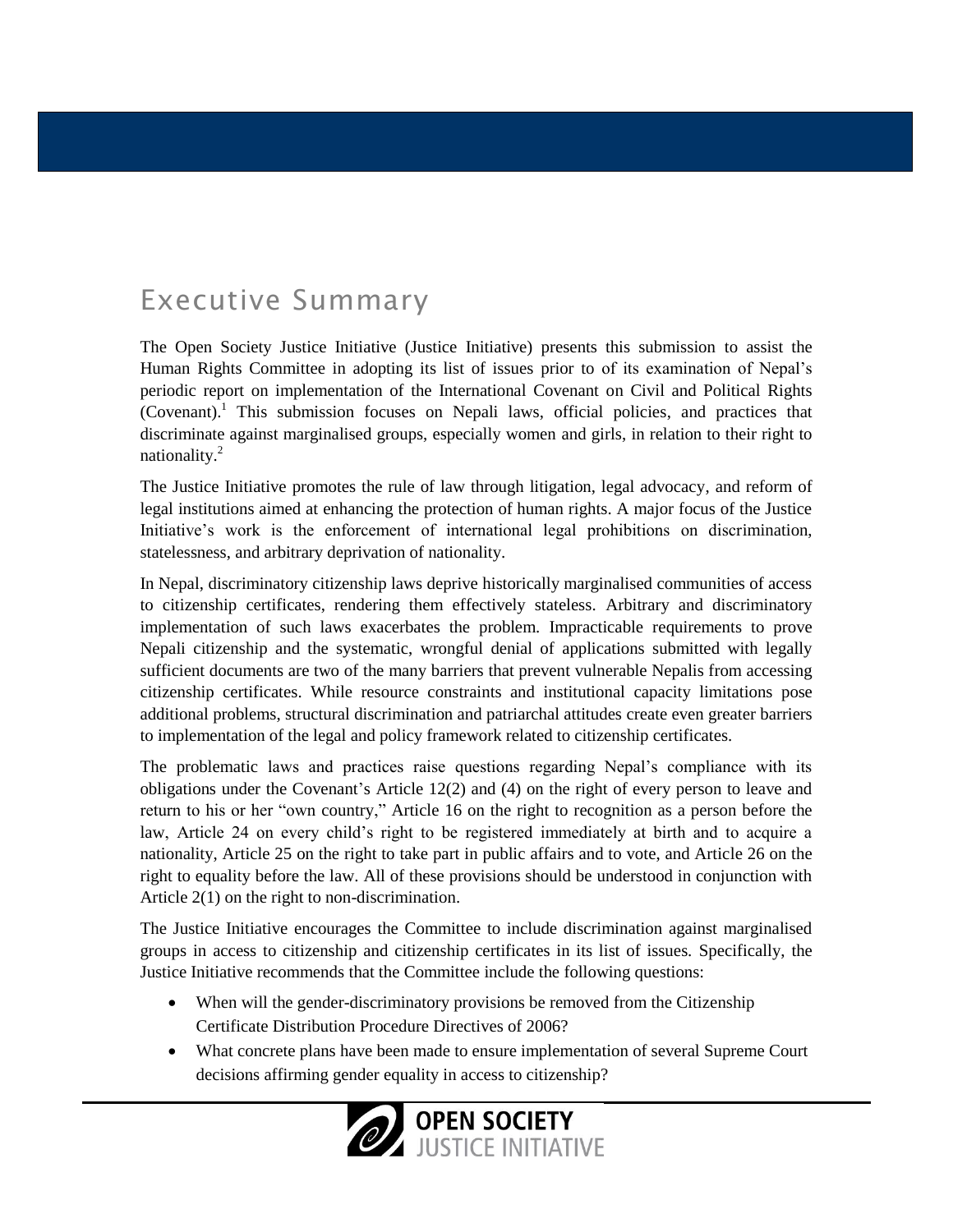# Executive Summary

The Open Society Justice Initiative (Justice Initiative) presents this submission to assist the Human Rights Committee in adopting its list of issues prior to of its examination of Nepal's periodic report on implementation of the International Covenant on Civil and Political Rights (Covenant). <sup>1</sup> This submission focuses on Nepali laws, official policies, and practices that discriminate against marginalised groups, especially women and girls, in relation to their right to nationality.<sup>2</sup>

The Justice Initiative promotes the rule of law through litigation, legal advocacy, and reform of legal institutions aimed at enhancing the protection of human rights. A major focus of the Justice Initiative's work is the enforcement of international legal prohibitions on discrimination, statelessness, and arbitrary deprivation of nationality.

In Nepal, discriminatory citizenship laws deprive historically marginalised communities of access to citizenship certificates, rendering them effectively stateless. Arbitrary and discriminatory implementation of such laws exacerbates the problem. Impracticable requirements to prove Nepali citizenship and the systematic, wrongful denial of applications submitted with legally sufficient documents are two of the many barriers that prevent vulnerable Nepalis from accessing citizenship certificates. While resource constraints and institutional capacity limitations pose additional problems, structural discrimination and patriarchal attitudes create even greater barriers to implementation of the legal and policy framework related to citizenship certificates.

The problematic laws and practices raise questions regarding Nepal's compliance with its obligations under the Covenant's Article 12(2) and (4) on the right of every person to leave and return to his or her "own country," Article 16 on the right to recognition as a person before the law, Article 24 on every child's right to be registered immediately at birth and to acquire a nationality, Article 25 on the right to take part in public affairs and to vote, and Article 26 on the right to equality before the law. All of these provisions should be understood in conjunction with Article 2(1) on the right to non-discrimination.

The Justice Initiative encourages the Committee to include discrimination against marginalised groups in access to citizenship and citizenship certificates in its list of issues. Specifically, the Justice Initiative recommends that the Committee include the following questions:

- When will the gender-discriminatory provisions be removed from the Citizenship Certificate Distribution Procedure Directives of 2006?
- What concrete plans have been made to ensure implementation of several Supreme Court decisions affirming gender equality in access to citizenship?

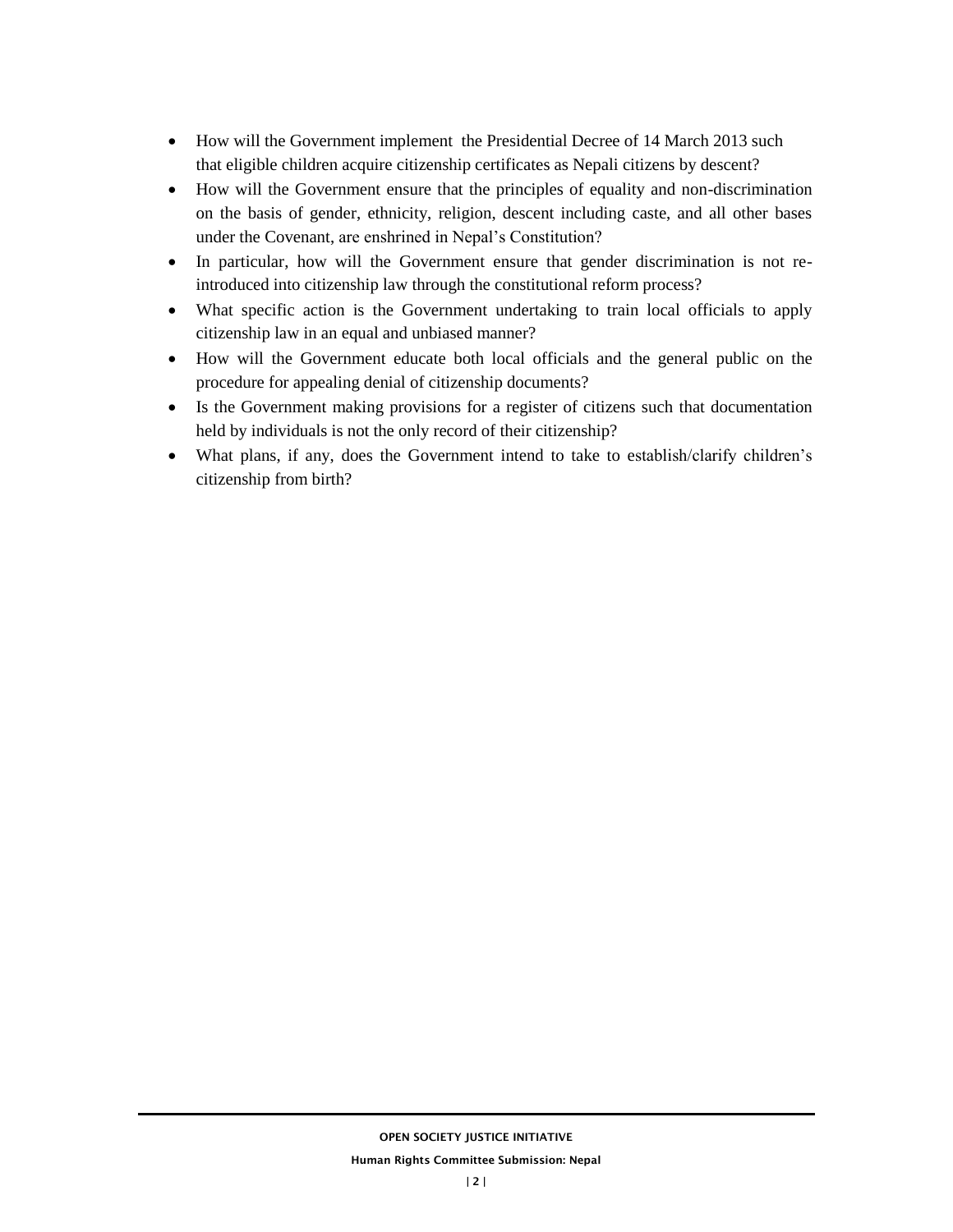- How will the Government implement the Presidential Decree of 14 March 2013 such that eligible children acquire citizenship certificates as Nepali citizens by descent?
- How will the Government ensure that the principles of equality and non-discrimination on the basis of gender, ethnicity, religion, descent including caste, and all other bases under the Covenant, are enshrined in Nepal's Constitution?
- In particular, how will the Government ensure that gender discrimination is not reintroduced into citizenship law through the constitutional reform process?
- What specific action is the Government undertaking to train local officials to apply citizenship law in an equal and unbiased manner?
- How will the Government educate both local officials and the general public on the procedure for appealing denial of citizenship documents?
- Is the Government making provisions for a register of citizens such that documentation held by individuals is not the only record of their citizenship?
- What plans, if any, does the Government intend to take to establish/clarify children's citizenship from birth?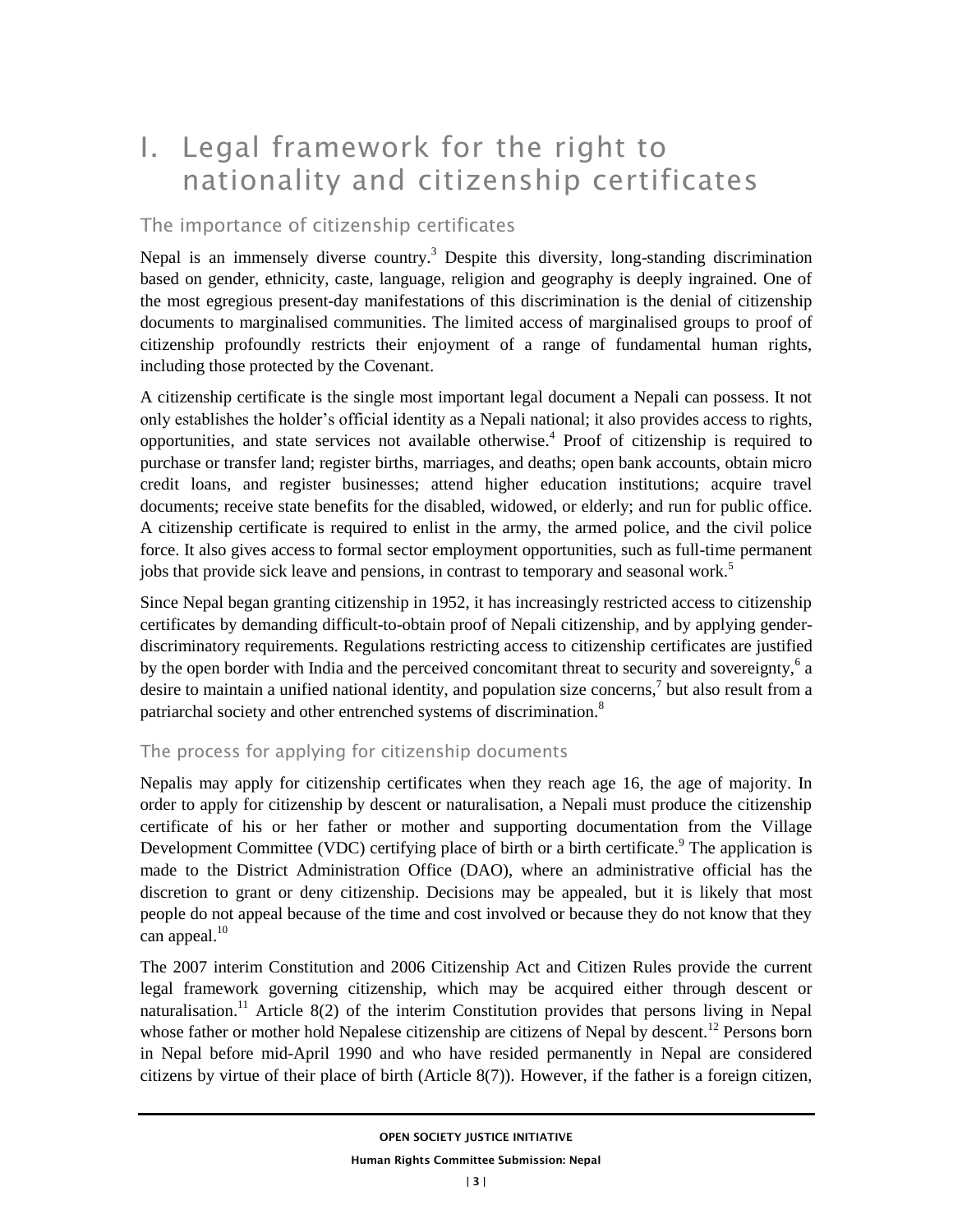# I. Legal framework for the right to nationality and citizenship certificates

### The importance of citizenship certificates

Nepal is an immensely diverse country.<sup>3</sup> Despite this diversity, long-standing discrimination based on gender, ethnicity, caste, language, religion and geography is deeply ingrained. One of the most egregious present-day manifestations of this discrimination is the denial of citizenship documents to marginalised communities. The limited access of marginalised groups to proof of citizenship profoundly restricts their enjoyment of a range of fundamental human rights, including those protected by the Covenant.

A citizenship certificate is the single most important legal document a Nepali can possess. It not only establishes the holder's official identity as a Nepali national; it also provides access to rights, opportunities, and state services not available otherwise.<sup>4</sup> Proof of citizenship is required to purchase or transfer land; register births, marriages, and deaths; open bank accounts, obtain micro credit loans, and register businesses; attend higher education institutions; acquire travel documents; receive state benefits for the disabled, widowed, or elderly; and run for public office. A citizenship certificate is required to enlist in the army, the armed police, and the civil police force. It also gives access to formal sector employment opportunities, such as full-time permanent jobs that provide sick leave and pensions, in contrast to temporary and seasonal work.<sup>5</sup>

Since Nepal began granting citizenship in 1952, it has increasingly restricted access to citizenship certificates by demanding difficult-to-obtain proof of Nepali citizenship, and by applying genderdiscriminatory requirements. Regulations restricting access to citizenship certificates are justified by the open border with India and the perceived concomitant threat to security and sovereignty, $6a$ desire to maintain a unified national identity, and population size concerns,<sup>7</sup> but also result from a patriarchal society and other entrenched systems of discrimination.<sup>8</sup>

#### The process for applying for citizenship documents

Nepalis may apply for citizenship certificates when they reach age 16, the age of majority. In order to apply for citizenship by descent or naturalisation, a Nepali must produce the citizenship certificate of his or her father or mother and supporting documentation from the Village Development Committee (VDC) certifying place of birth or a birth certificate.<sup>9</sup> The application is made to the District Administration Office (DAO), where an administrative official has the discretion to grant or deny citizenship. Decisions may be appealed, but it is likely that most people do not appeal because of the time and cost involved or because they do not know that they can appeal. $10$ 

The 2007 interim Constitution and 2006 Citizenship Act and Citizen Rules provide the current legal framework governing citizenship, which may be acquired either through descent or naturalisation.<sup>11</sup> Article 8(2) of the interim Constitution provides that persons living in Nepal whose father or mother hold Nepalese citizenship are citizens of Nepal by descent.<sup>12</sup> Persons born in Nepal before mid-April 1990 and who have resided permanently in Nepal are considered citizens by virtue of their place of birth (Article 8(7)). However, if the father is a foreign citizen,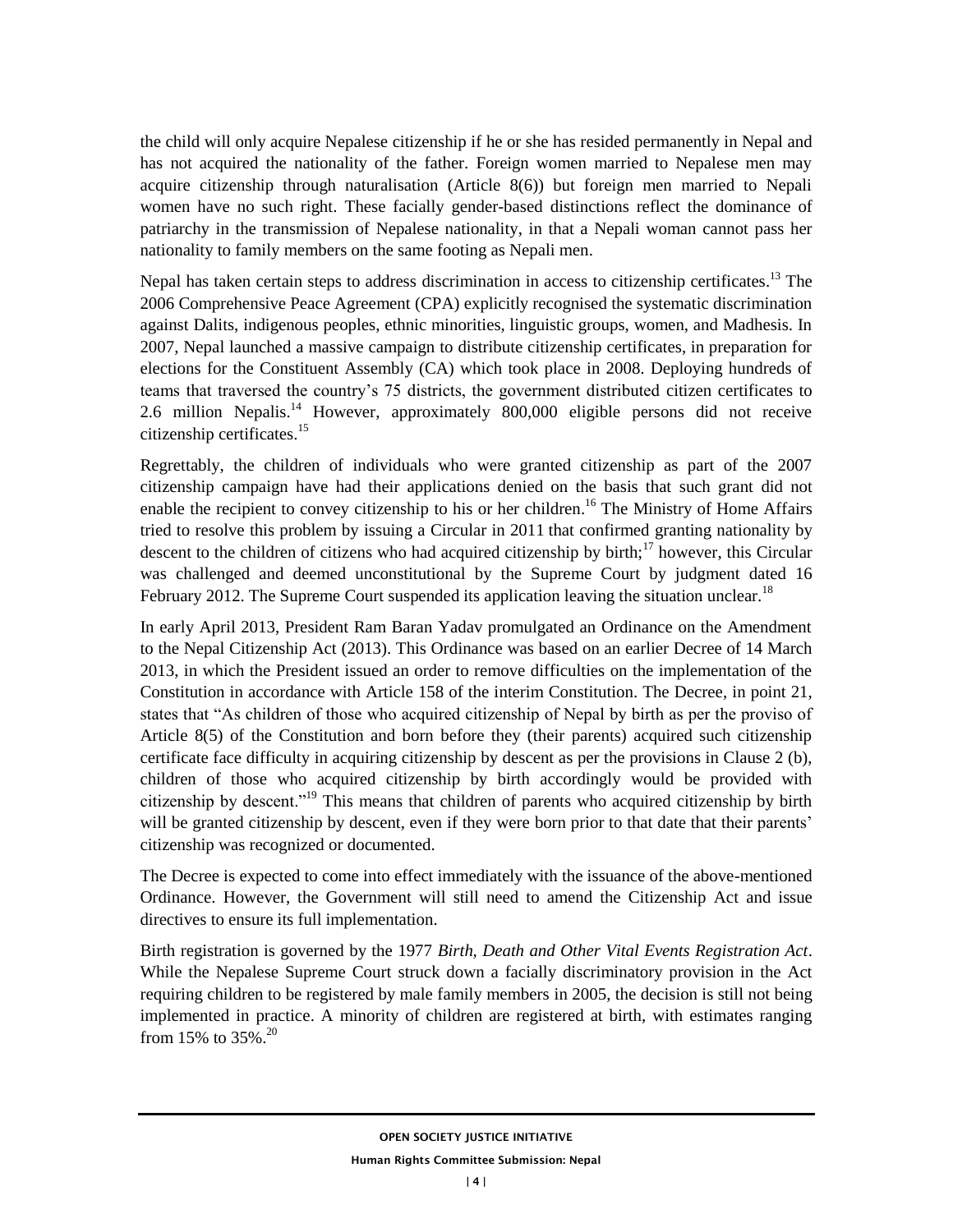the child will only acquire Nepalese citizenship if he or she has resided permanently in Nepal and has not acquired the nationality of the father. Foreign women married to Nepalese men may acquire citizenship through naturalisation (Article 8(6)) but foreign men married to Nepali women have no such right. These facially gender-based distinctions reflect the dominance of patriarchy in the transmission of Nepalese nationality, in that a Nepali woman cannot pass her nationality to family members on the same footing as Nepali men.

Nepal has taken certain steps to address discrimination in access to citizenship certificates.<sup>13</sup> The 2006 Comprehensive Peace Agreement (CPA) explicitly recognised the systematic discrimination against Dalits, indigenous peoples, ethnic minorities, linguistic groups, women, and Madhesis. In 2007, Nepal launched a massive campaign to distribute citizenship certificates, in preparation for elections for the Constituent Assembly (CA) which took place in 2008. Deploying hundreds of teams that traversed the country's 75 districts, the government distributed citizen certificates to 2.6 million Nepalis.<sup>14</sup> However, approximately 800,000 eligible persons did not receive citizenship certificates. $15$ 

Regrettably, the children of individuals who were granted citizenship as part of the 2007 citizenship campaign have had their applications denied on the basis that such grant did not enable the recipient to convey citizenship to his or her children.<sup>16</sup> The Ministry of Home Affairs tried to resolve this problem by issuing a Circular in 2011 that confirmed granting nationality by descent to the children of citizens who had acquired citizenship by birth;<sup>17</sup> however, this Circular was challenged and deemed unconstitutional by the Supreme Court by judgment dated 16 February 2012. The Supreme Court suspended its application leaving the situation unclear.<sup>18</sup>

In early April 2013, President Ram Baran Yadav promulgated an Ordinance on the Amendment to the Nepal Citizenship Act (2013). This Ordinance was based on an earlier Decree of 14 March 2013, in which the President issued an order to remove difficulties on the implementation of the Constitution in accordance with Article 158 of the interim Constitution. The Decree, in point 21, states that "As children of those who acquired citizenship of Nepal by birth as per the proviso of Article 8(5) of the Constitution and born before they (their parents) acquired such citizenship certificate face difficulty in acquiring citizenship by descent as per the provisions in Clause 2 (b), children of those who acquired citizenship by birth accordingly would be provided with citizenship by descent."<sup>19</sup> This means that children of parents who acquired citizenship by birth will be granted citizenship by descent, even if they were born prior to that date that their parents' citizenship was recognized or documented.

The Decree is expected to come into effect immediately with the issuance of the above-mentioned Ordinance. However, the Government will still need to amend the Citizenship Act and issue directives to ensure its full implementation.

Birth registration is governed by the 1977 *Birth, Death and Other Vital Events Registration Act*. While the Nepalese Supreme Court struck down a facially discriminatory provision in the Act requiring children to be registered by male family members in 2005, the decision is still not being implemented in practice. A minority of children are registered at birth, with estimates ranging from 15% to 35%.<sup>20</sup>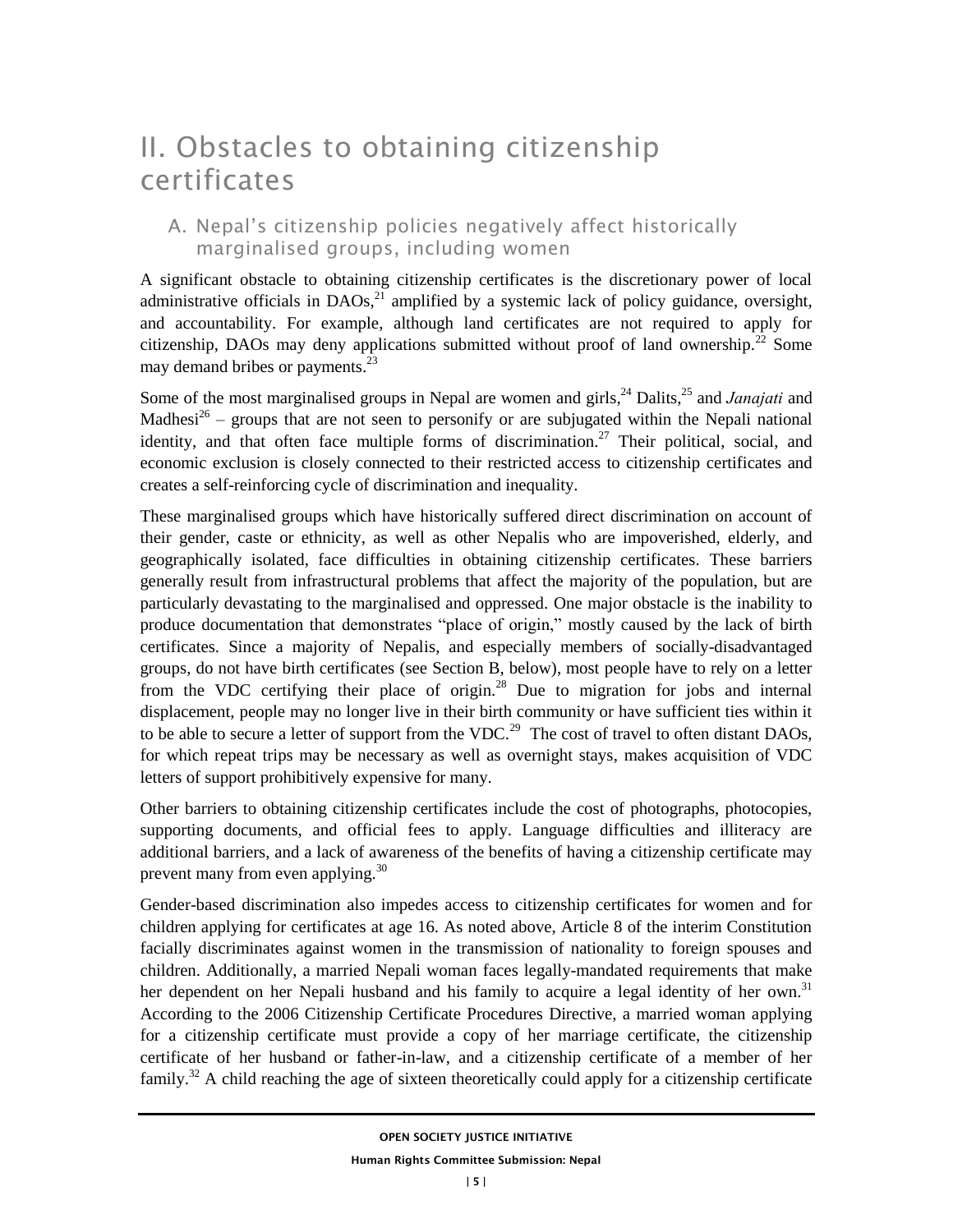# II. Obstacles to obtaining citizenship certificates

### A. Nepal's citizenship policies negatively affect historically marginalised groups, including women

A significant obstacle to obtaining citizenship certificates is the discretionary power of local administrative officials in  $DAOs$ ,  $21$  amplified by a systemic lack of policy guidance, oversight, and accountability. For example, although land certificates are not required to apply for citizenship, DAOs may deny applications submitted without proof of land ownership.<sup>22</sup> Some may demand bribes or payments.<sup>23</sup>

Some of the most marginalised groups in Nepal are women and girls,<sup>24</sup> Dalits,<sup>25</sup> and *Janajati* and Madhesi<sup>26</sup> – groups that are not seen to personify or are subjugated within the Nepali national identity, and that often face multiple forms of discrimination.<sup>27</sup> Their political, social, and economic exclusion is closely connected to their restricted access to citizenship certificates and creates a self-reinforcing cycle of discrimination and inequality.

These marginalised groups which have historically suffered direct discrimination on account of their gender, caste or ethnicity, as well as other Nepalis who are impoverished, elderly, and geographically isolated, face difficulties in obtaining citizenship certificates. These barriers generally result from infrastructural problems that affect the majority of the population, but are particularly devastating to the marginalised and oppressed. One major obstacle is the inability to produce documentation that demonstrates "place of origin," mostly caused by the lack of birth certificates. Since a majority of Nepalis, and especially members of socially-disadvantaged groups, do not have birth certificates (see Section B, below), most people have to rely on a letter from the VDC certifying their place of origin.<sup>28</sup> Due to migration for jobs and internal displacement, people may no longer live in their birth community or have sufficient ties within it to be able to secure a letter of support from the VDC.<sup>29</sup> The cost of travel to often distant DAOs, for which repeat trips may be necessary as well as overnight stays, makes acquisition of VDC letters of support prohibitively expensive for many.

Other barriers to obtaining citizenship certificates include the cost of photographs, photocopies, supporting documents, and official fees to apply. Language difficulties and illiteracy are additional barriers, and a lack of awareness of the benefits of having a citizenship certificate may prevent many from even applying.<sup>30</sup>

Gender-based discrimination also impedes access to citizenship certificates for women and for children applying for certificates at age 16. As noted above, Article 8 of the interim Constitution facially discriminates against women in the transmission of nationality to foreign spouses and children. Additionally, a married Nepali woman faces legally-mandated requirements that make her dependent on her Nepali husband and his family to acquire a legal identity of her own.<sup>31</sup> According to the 2006 Citizenship Certificate Procedures Directive, a married woman applying for a citizenship certificate must provide a copy of her marriage certificate, the citizenship certificate of her husband or father-in-law, and a citizenship certificate of a member of her family.<sup>32</sup> A child reaching the age of sixteen theoretically could apply for a citizenship certificate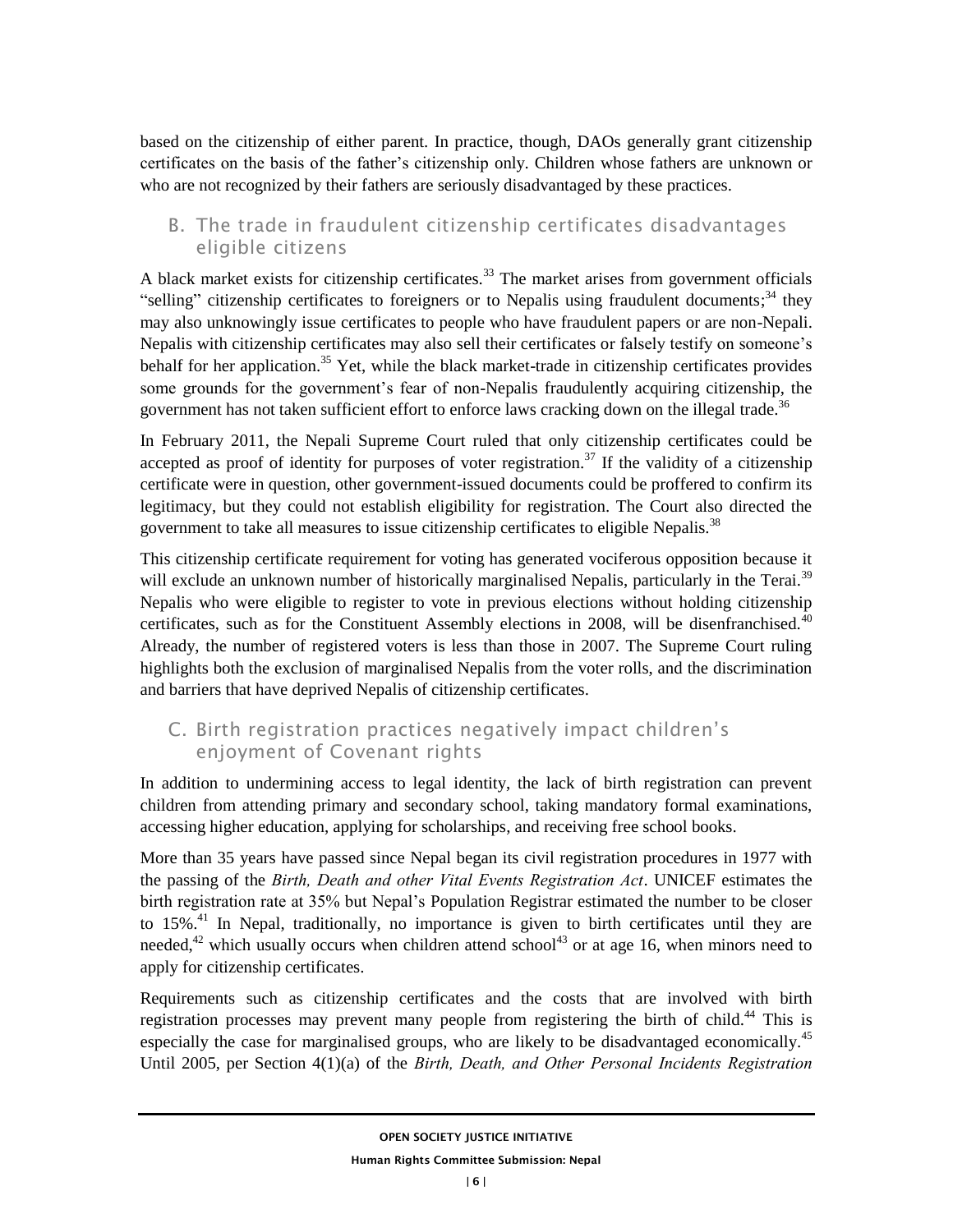based on the citizenship of either parent. In practice, though, DAOs generally grant citizenship certificates on the basis of the father's citizenship only. Children whose fathers are unknown or who are not recognized by their fathers are seriously disadvantaged by these practices.

### B. The trade in fraudulent citizenship certificates disadvantages eligible citizens

A black market exists for citizenship certificates.<sup>33</sup> The market arises from government officials "selling" citizenship certificates to foreigners or to Nepalis using fraudulent documents;<sup>34</sup> they may also unknowingly issue certificates to people who have fraudulent papers or are non-Nepali. Nepalis with citizenship certificates may also sell their certificates or falsely testify on someone's behalf for her application.<sup>35</sup> Yet, while the black market-trade in citizenship certificates provides some grounds for the government's fear of non-Nepalis fraudulently acquiring citizenship, the government has not taken sufficient effort to enforce laws cracking down on the illegal trade.<sup>36</sup>

In February 2011, the Nepali Supreme Court ruled that only citizenship certificates could be accepted as proof of identity for purposes of voter registration.<sup>37</sup> If the validity of a citizenship certificate were in question, other government-issued documents could be proffered to confirm its legitimacy, but they could not establish eligibility for registration. The Court also directed the government to take all measures to issue citizenship certificates to eligible Nepalis.<sup>38</sup>

This citizenship certificate requirement for voting has generated vociferous opposition because it will exclude an unknown number of historically marginalised Nepalis, particularly in the Terai.<sup>39</sup> Nepalis who were eligible to register to vote in previous elections without holding citizenship certificates, such as for the Constituent Assembly elections in 2008, will be disenfranchised. $40$ Already, the number of registered voters is less than those in 2007. The Supreme Court ruling highlights both the exclusion of marginalised Nepalis from the voter rolls, and the discrimination and barriers that have deprived Nepalis of citizenship certificates.

### C. Birth registration practices negatively impact children's enjoyment of Covenant rights

In addition to undermining access to legal identity, the lack of birth registration can prevent children from attending primary and secondary school, taking mandatory formal examinations, accessing higher education, applying for scholarships, and receiving free school books.

More than 35 years have passed since Nepal began its civil registration procedures in 1977 with the passing of the *Birth, Death and other Vital Events Registration Act*. UNICEF estimates the birth registration rate at 35% but Nepal's Population Registrar estimated the number to be closer to  $15\%$ <sup>41</sup>. In Nepal, traditionally, no importance is given to birth certificates until they are needed,<sup>42</sup> which usually occurs when children attend school<sup>43</sup> or at age 16, when minors need to apply for citizenship certificates.

Requirements such as citizenship certificates and the costs that are involved with birth registration processes may prevent many people from registering the birth of child.<sup>44</sup> This is especially the case for marginalised groups, who are likely to be disadvantaged economically.<sup>45</sup> Until 2005, per Section 4(1)(a) of the *Birth, Death, and Other Personal Incidents Registration*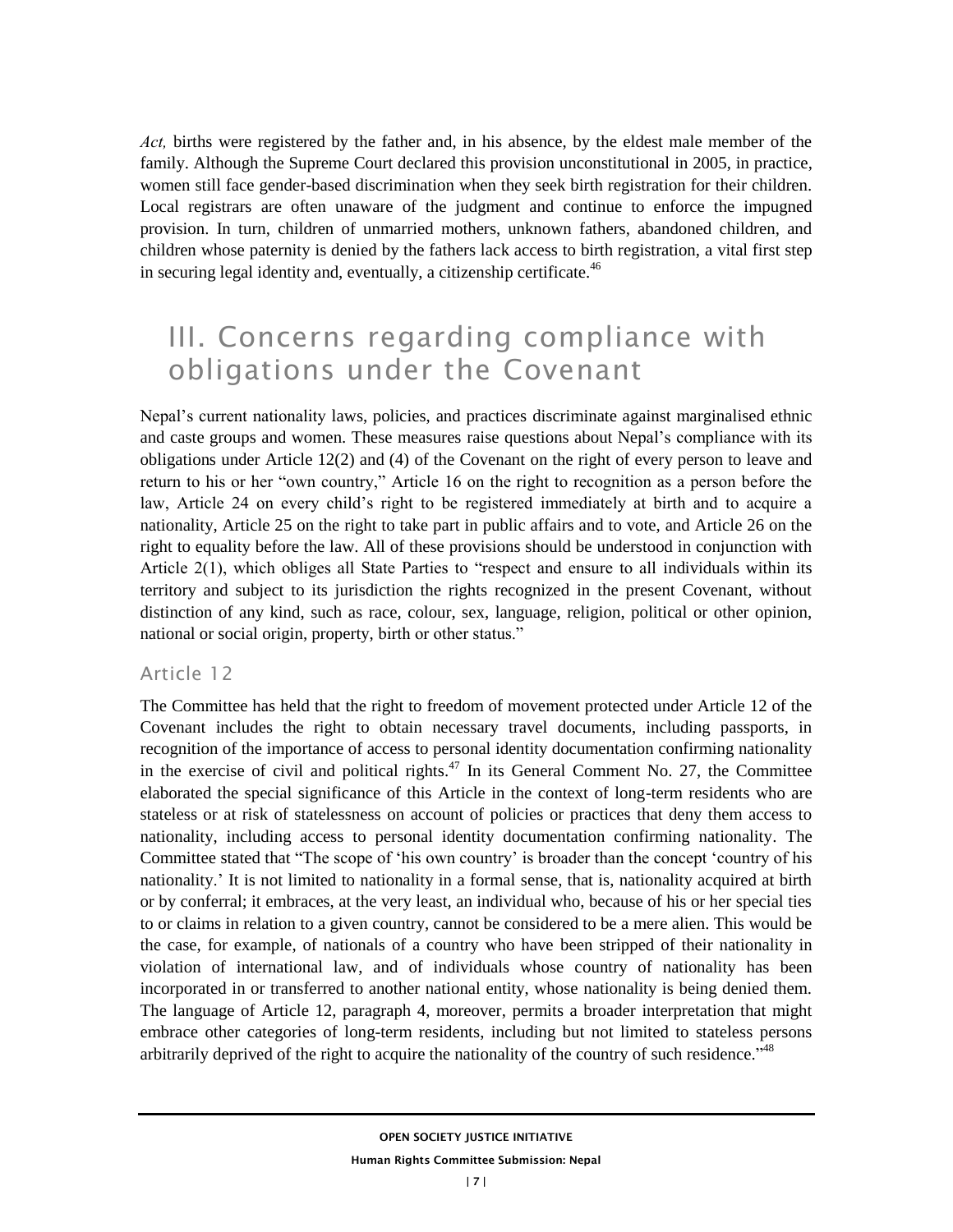*Act,* births were registered by the father and, in his absence, by the eldest male member of the family. Although the Supreme Court declared this provision unconstitutional in 2005, in practice, women still face gender-based discrimination when they seek birth registration for their children. Local registrars are often unaware of the judgment and continue to enforce the impugned provision. In turn, children of unmarried mothers, unknown fathers, abandoned children, and children whose paternity is denied by the fathers lack access to birth registration, a vital first step in securing legal identity and, eventually, a citizenship certificate.<sup>46</sup>

# III. Concerns regarding compliance with obligations under the Covenant

Nepal's current nationality laws, policies, and practices discriminate against marginalised ethnic and caste groups and women. These measures raise questions about Nepal's compliance with its obligations under Article 12(2) and (4) of the Covenant on the right of every person to leave and return to his or her "own country," Article 16 on the right to recognition as a person before the law, Article 24 on every child's right to be registered immediately at birth and to acquire a nationality, Article 25 on the right to take part in public affairs and to vote, and Article 26 on the right to equality before the law. All of these provisions should be understood in conjunction with Article 2(1), which obliges all State Parties to "respect and ensure to all individuals within its territory and subject to its jurisdiction the rights recognized in the present Covenant, without distinction of any kind, such as race, colour, sex, language, religion, political or other opinion, national or social origin, property, birth or other status."

#### Article 12

The Committee has held that the right to freedom of movement protected under Article 12 of the Covenant includes the right to obtain necessary travel documents, including passports, in recognition of the importance of access to personal identity documentation confirming nationality in the exercise of civil and political rights.<sup>47</sup> In its General Comment No. 27, the Committee elaborated the special significance of this Article in the context of long-term residents who are stateless or at risk of statelessness on account of policies or practices that deny them access to nationality, including access to personal identity documentation confirming nationality. The Committee stated that "The scope of 'his own country' is broader than the concept 'country of his nationality.' It is not limited to nationality in a formal sense, that is, nationality acquired at birth or by conferral; it embraces, at the very least, an individual who, because of his or her special ties to or claims in relation to a given country, cannot be considered to be a mere alien. This would be the case, for example, of nationals of a country who have been stripped of their nationality in violation of international law, and of individuals whose country of nationality has been incorporated in or transferred to another national entity, whose nationality is being denied them. The language of Article 12, paragraph 4, moreover, permits a broader interpretation that might embrace other categories of long-term residents, including but not limited to stateless persons arbitrarily deprived of the right to acquire the nationality of the country of such residence."<sup>48</sup>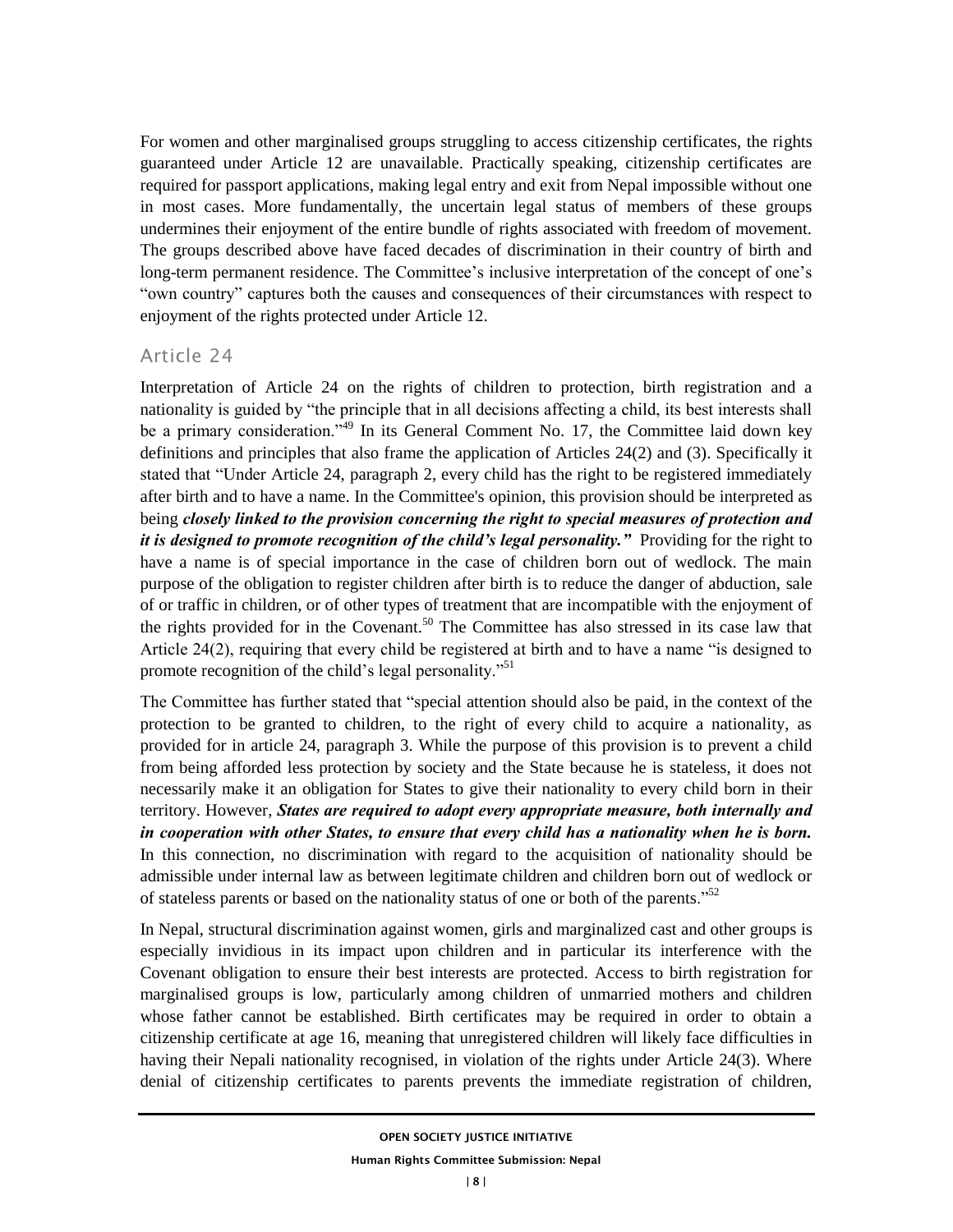For women and other marginalised groups struggling to access citizenship certificates, the rights guaranteed under Article 12 are unavailable. Practically speaking, citizenship certificates are required for passport applications, making legal entry and exit from Nepal impossible without one in most cases. More fundamentally, the uncertain legal status of members of these groups undermines their enjoyment of the entire bundle of rights associated with freedom of movement. The groups described above have faced decades of discrimination in their country of birth and long-term permanent residence. The Committee's inclusive interpretation of the concept of one's "own country" captures both the causes and consequences of their circumstances with respect to enjoyment of the rights protected under Article 12.

### Article 24

Interpretation of Article 24 on the rights of children to protection, birth registration and a nationality is guided by "the principle that in all decisions affecting a child, its best interests shall be a primary consideration."<sup>49</sup> In its General Comment No. 17, the Committee laid down key definitions and principles that also frame the application of Articles 24(2) and (3). Specifically it stated that "Under Article 24, paragraph 2, every child has the right to be registered immediately after birth and to have a name. In the Committee's opinion, this provision should be interpreted as being *closely linked to the provision concerning the right to special measures of protection and it is designed to promote recognition of the child's legal personality."* Providing for the right to have a name is of special importance in the case of children born out of wedlock. The main purpose of the obligation to register children after birth is to reduce the danger of abduction, sale of or traffic in children, or of other types of treatment that are incompatible with the enjoyment of the rights provided for in the Covenant.<sup>50</sup> The Committee has also stressed in its case law that Article 24(2), requiring that every child be registered at birth and to have a name "is designed to promote recognition of the child's legal personality."<sup>51</sup>

The Committee has further stated that "special attention should also be paid, in the context of the protection to be granted to children, to the right of every child to acquire a nationality, as provided for in article 24, paragraph 3. While the purpose of this provision is to prevent a child from being afforded less protection by society and the State because he is stateless, it does not necessarily make it an obligation for States to give their nationality to every child born in their territory. However, *States are required to adopt every appropriate measure, both internally and in cooperation with other States, to ensure that every child has a nationality when he is born.* In this connection, no discrimination with regard to the acquisition of nationality should be admissible under internal law as between legitimate children and children born out of wedlock or of stateless parents or based on the nationality status of one or both of the parents."<sup>52</sup>

In Nepal, structural discrimination against women, girls and marginalized cast and other groups is especially invidious in its impact upon children and in particular its interference with the Covenant obligation to ensure their best interests are protected. Access to birth registration for marginalised groups is low, particularly among children of unmarried mothers and children whose father cannot be established. Birth certificates may be required in order to obtain a citizenship certificate at age 16, meaning that unregistered children will likely face difficulties in having their Nepali nationality recognised, in violation of the rights under Article 24(3). Where denial of citizenship certificates to parents prevents the immediate registration of children,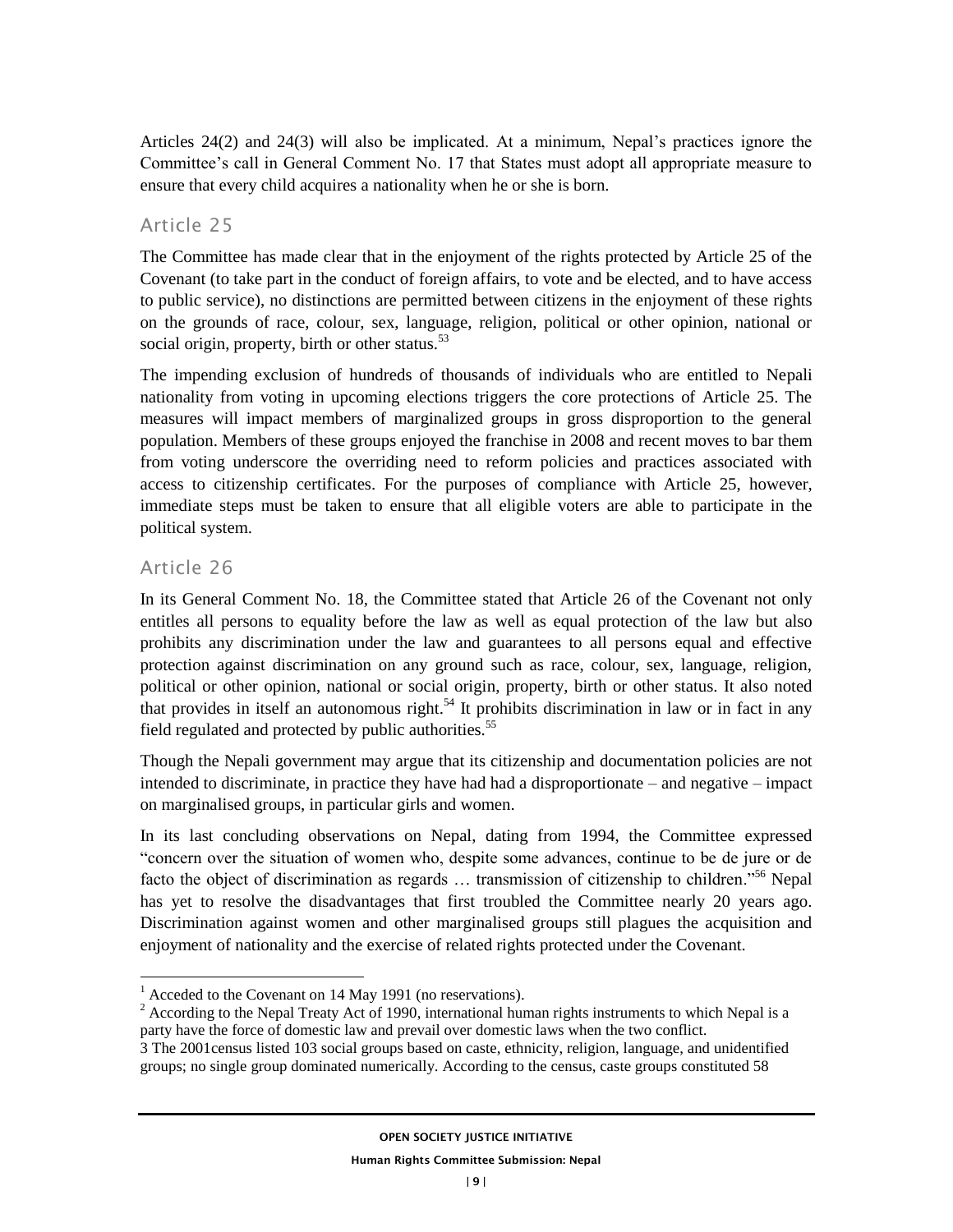Articles 24(2) and 24(3) will also be implicated. At a minimum, Nepal's practices ignore the Committee's call in General Comment No. 17 that States must adopt all appropriate measure to ensure that every child acquires a nationality when he or she is born.

#### Article 25

The Committee has made clear that in the enjoyment of the rights protected by Article 25 of the Covenant (to take part in the conduct of foreign affairs, to vote and be elected, and to have access to public service), no distinctions are permitted between citizens in the enjoyment of these rights on the grounds of race, colour, sex, language, religion, political or other opinion, national or social origin, property, birth or other status.<sup>53</sup>

The impending exclusion of hundreds of thousands of individuals who are entitled to Nepali nationality from voting in upcoming elections triggers the core protections of Article 25. The measures will impact members of marginalized groups in gross disproportion to the general population. Members of these groups enjoyed the franchise in 2008 and recent moves to bar them from voting underscore the overriding need to reform policies and practices associated with access to citizenship certificates. For the purposes of compliance with Article 25, however, immediate steps must be taken to ensure that all eligible voters are able to participate in the political system.

#### Article 26

 $\overline{a}$ 

In its General Comment No. 18, the Committee stated that Article 26 of the Covenant not only entitles all persons to equality before the law as well as equal protection of the law but also prohibits any discrimination under the law and guarantees to all persons equal and effective protection against discrimination on any ground such as race, colour, sex, language, religion, political or other opinion, national or social origin, property, birth or other status. It also noted that provides in itself an autonomous right.<sup>54</sup> It prohibits discrimination in law or in fact in any field regulated and protected by public authorities.<sup>55</sup>

Though the Nepali government may argue that its citizenship and documentation policies are not intended to discriminate, in practice they have had had a disproportionate – and negative – impact on marginalised groups, in particular girls and women.

In its last concluding observations on Nepal, dating from 1994, the Committee expressed "concern over the situation of women who, despite some advances, continue to be de jure or de facto the object of discrimination as regards … transmission of citizenship to children."<sup>56</sup> Nepal has yet to resolve the disadvantages that first troubled the Committee nearly 20 years ago. Discrimination against women and other marginalised groups still plagues the acquisition and enjoyment of nationality and the exercise of related rights protected under the Covenant.

 $2 \text{ According to the Nepal Treaty Act of 1990, international human rights instruments to which Nepal is a.}$ party have the force of domestic law and prevail over domestic laws when the two conflict.

 $1$  Acceded to the Covenant on 14 May 1991 (no reservations).

<sup>3</sup> The 2001census listed 103 social groups based on caste, ethnicity, religion, language, and unidentified groups; no single group dominated numerically. According to the census, caste groups constituted 58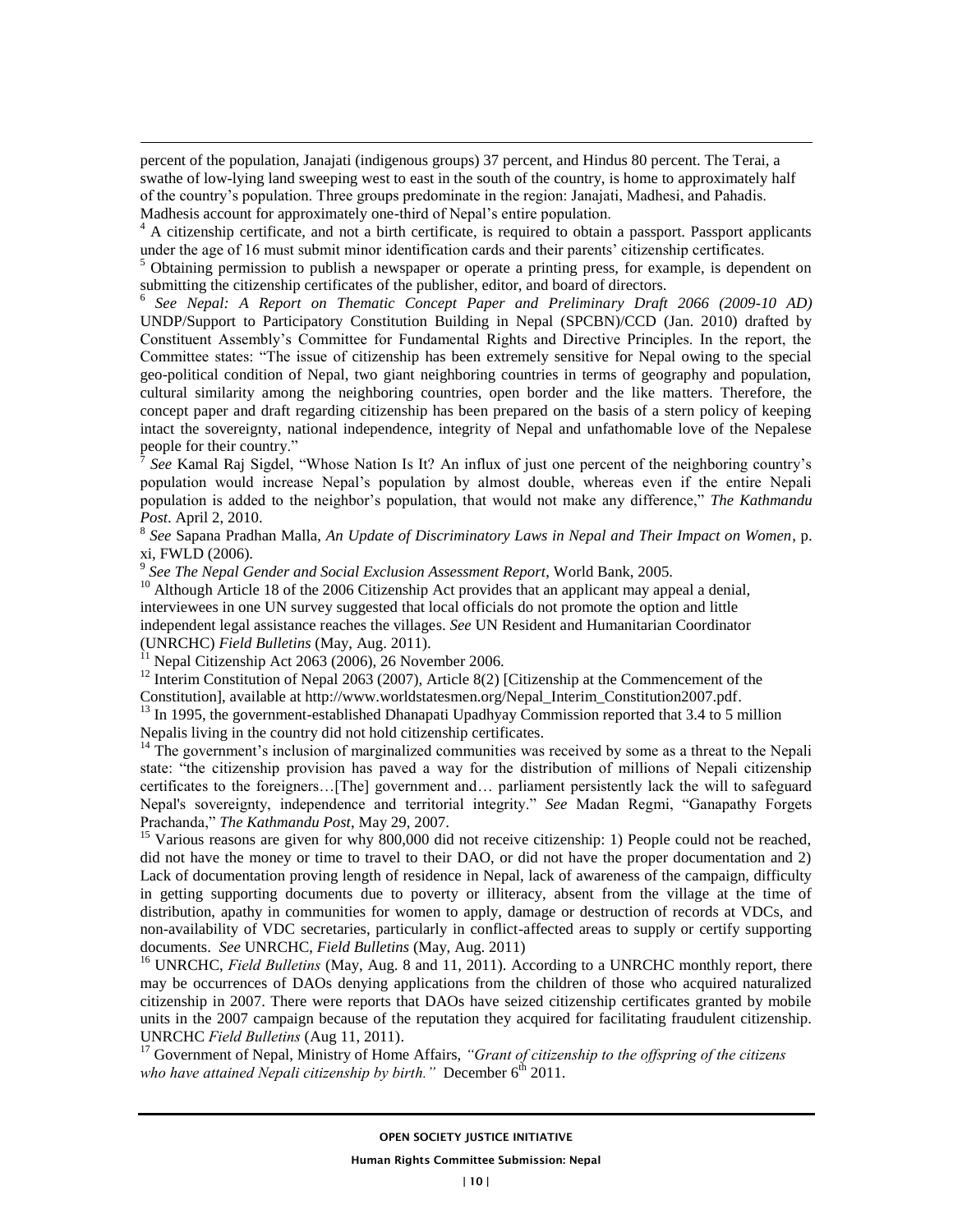percent of the population, Janajati (indigenous groups) 37 percent, and Hindus 80 percent. The Terai, a swathe of low-lying land sweeping west to east in the south of the country, is home to approximately half of the country's population. Three groups predominate in the region: Janajati, Madhesi, and Pahadis. Madhesis account for approximately one-third of Nepal's entire population.

<sup>4</sup> A citizenship certificate, and not a birth certificate, is required to obtain a passport. Passport applicants under the age of 16 must submit minor identification cards and their parents' citizenship certificates.

 $<sup>5</sup>$  Obtaining permission to publish a newspaper or operate a printing press, for example, is dependent on</sup> submitting the citizenship certificates of the publisher, editor, and board of directors.

6 *See Nepal: A Report on Thematic Concept Paper and Preliminary Draft 2066 (2009-10 AD)* UNDP/Support to Participatory Constitution Building in Nepal (SPCBN)/CCD (Jan. 2010) drafted by Constituent Assembly's Committee for Fundamental Rights and Directive Principles. In the report, the Committee states: "The issue of citizenship has been extremely sensitive for Nepal owing to the special geo-political condition of Nepal, two giant neighboring countries in terms of geography and population, cultural similarity among the neighboring countries, open border and the like matters. Therefore, the concept paper and draft regarding citizenship has been prepared on the basis of a stern policy of keeping intact the sovereignty, national independence, integrity of Nepal and unfathomable love of the Nepalese people for their country."

 $\tilde{7}$ *See* Kamal Raj Sigdel, "Whose Nation Is It? An influx of just one percent of the neighboring country's population would increase Nepal's population by almost double, whereas even if the entire Nepali population is added to the neighbor's population, that would not make any difference," *The Kathmandu Post*. April 2, 2010.

8 *See* Sapana Pradhan Malla, *An Update of Discriminatory Laws in Nepal and Their Impact on Women*, p. xi, FWLD (2006). 9 *See The Nepal Gender and Social Exclusion Assessment Report*, World Bank, 2005.

<sup>10</sup> Although Article 18 of the 2006 Citizenship Act provides that an applicant may appeal a denial, interviewees in one UN survey suggested that local officials do not promote the option and little independent legal assistance reaches the villages. *See* UN Resident and Humanitarian Coordinator (UNRCHC) *Field Bulletins* (May, Aug. 2011).

 $11$  Nepal Citizenship Act 2063 (2006), 26 November 2006.

 $\overline{a}$ 

<sup>12</sup> Interim Constitution of Nepal 2063 (2007), Article 8(2) [Citizenship at the Commencement of the

Constitution], available at http://www.worldstatesmen.org/Nepal\_Interim\_Constitution2007.pdf.

<sup>13</sup> In 1995, the government-established Dhanapati Upadhyay Commission reported that 3.4 to 5 million Nepalis living in the country did not hold citizenship certificates.

<sup>14</sup> The government's inclusion of marginalized communities was received by some as a threat to the Nepali state: "the citizenship provision has paved a way for the distribution of millions of Nepali citizenship certificates to the foreigners…[The] government and… parliament persistently lack the will to safeguard Nepal's sovereignty, independence and territorial integrity." *See* Madan Regmi, "Ganapathy Forgets Prachanda," *The Kathmandu Post*, May 29, 2007.

<sup>15</sup> Various reasons are given for why 800,000 did not receive citizenship: 1) People could not be reached, did not have the money or time to travel to their DAO, or did not have the proper documentation and 2) Lack of documentation proving length of residence in Nepal, lack of awareness of the campaign, difficulty in getting supporting documents due to poverty or illiteracy, absent from the village at the time of distribution, apathy in communities for women to apply, damage or destruction of records at VDCs, and non-availability of VDC secretaries, particularly in conflict-affected areas to supply or certify supporting documents. *See* UNRCHC, *Field Bulletins* (May, Aug. 2011)

<sup>16</sup> UNRCHC, *Field Bulletins* (May, Aug. 8 and 11, 2011). According to a UNRCHC monthly report, there may be occurrences of DAOs denying applications from the children of those who acquired naturalized citizenship in 2007. There were reports that DAOs have seized citizenship certificates granted by mobile units in the 2007 campaign because of the reputation they acquired for facilitating fraudulent citizenship. UNRCHC *Field Bulletins* (Aug 11, 2011).

<sup>17</sup> Government of Nepal, Ministry of Home Affairs, *"Grant of citizenship to the offspring of the citizens who have attained Nepali citizenship by birth.*" December  $6<sup>th</sup> 2011$ .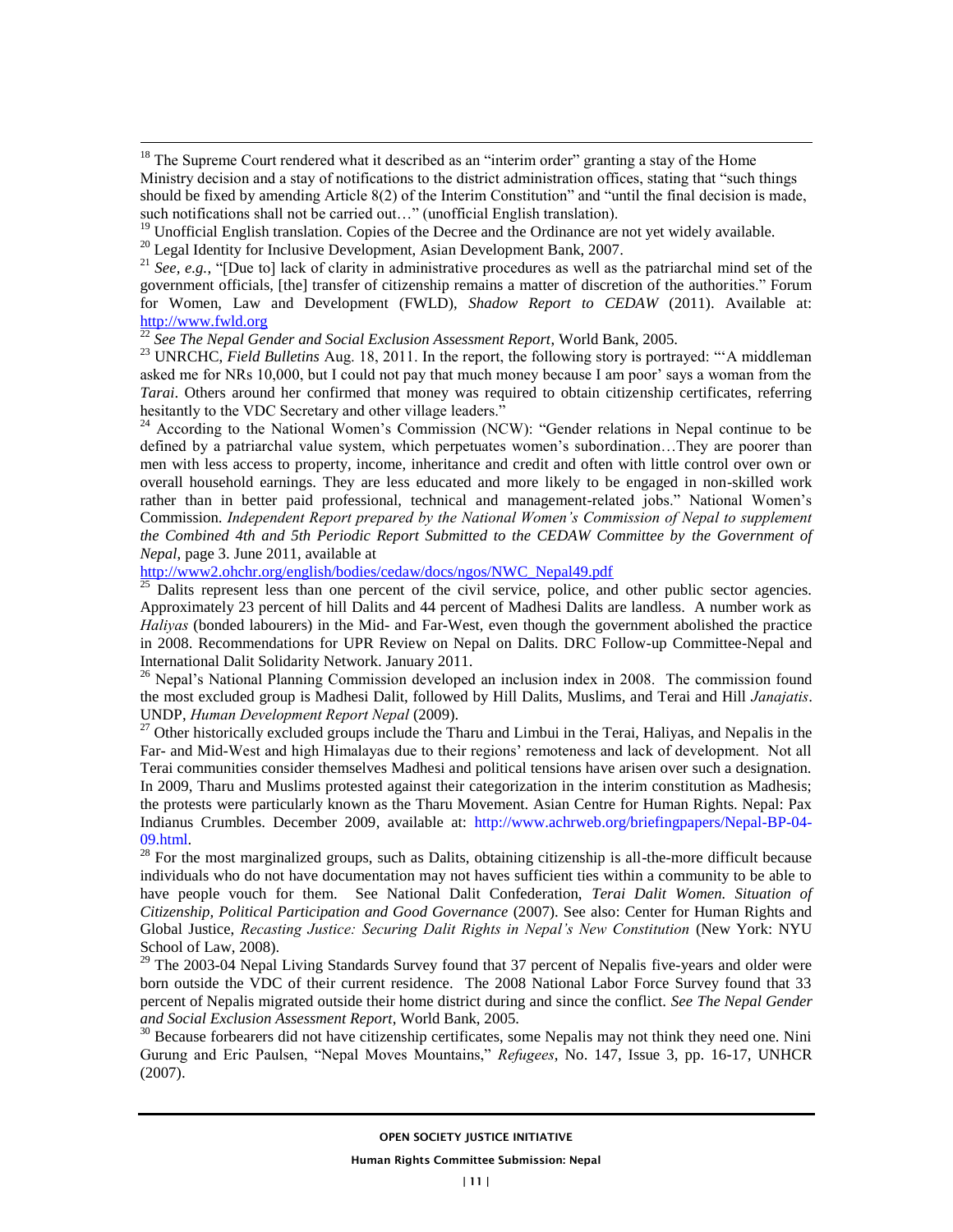<sup>18</sup> The Supreme Court rendered what it described as an "interim order" granting a stay of the Home Ministry decision and a stay of notifications to the district administration offices, stating that "such things should be fixed by amending Article 8(2) of the Interim Constitution" and "until the final decision is made, such notifications shall not be carried out…" (unofficial English translation).

- <sup>19</sup> Unofficial English translation. Copies of the Decree and the Ordinance are not yet widely available.
- <sup>20</sup> Legal Identity for Inclusive Development, Asian Development Bank, 2007.

 $\overline{a}$ 

<sup>21</sup> *See, e.g.*, "[Due to] lack of clarity in administrative procedures as well as the patriarchal mind set of the government officials, [the] transfer of citizenship remains a matter of discretion of the authorities." Forum for Women, Law and Development (FWLD), *Shadow Report to CEDAW* (2011). Available at: [http://www.fwld.org](http://www.fwld.org/)

<sup>22</sup> *See The Nepal Gender and Social Exclusion Assessment Report*, World Bank, 2005.

<sup>23</sup> UNRCHC, *Field Bulletins* Aug. 18, 2011. In the report, the following story is portrayed: "A middleman asked me for NRs 10,000, but I could not pay that much money because I am poor' says a woman from the *Tarai*. Others around her confirmed that money was required to obtain citizenship certificates, referring hesitantly to the VDC Secretary and other village leaders."

<sup>24</sup> According to the National Women's Commission (NCW): "Gender relations in Nepal continue to be defined by a patriarchal value system, which perpetuates women's subordination...They are poorer than men with less access to property, income, inheritance and credit and often with little control over own or overall household earnings. They are less educated and more likely to be engaged in non-skilled work rather than in better paid professional, technical and management-related jobs." National Women's Commission. *Independent Report prepared by the National Women's Commission of Nepal to supplement the Combined 4th and 5th Periodic Report Submitted to the CEDAW Committee by the Government of Nepal*, page 3. June 2011, available at

[http://www2.ohchr.org/english/bodies/cedaw/docs/ngos/NWC\\_Nepal49.pdf](http://www2.ohchr.org/english/bodies/cedaw/docs/ngos/NWC_Nepal49.pdf)

 $^{25}$  Dalits represent less than one percent of the civil service, police, and other public sector agencies. Approximately 23 percent of hill Dalits and 44 percent of Madhesi Dalits are landless. A number work as *Haliyas* (bonded labourers) in the Mid- and Far-West, even though the government abolished the practice in 2008. Recommendations for UPR Review on Nepal on Dalits. DRC Follow-up Committee-Nepal and International Dalit Solidarity Network. January 2011.

<sup>26</sup> Nepal's National Planning Commission developed an inclusion index in 2008. The commission found the most excluded group is Madhesi Dalit, followed by Hill Dalits, Muslims, and Terai and Hill *Janajatis*. UNDP, *Human Development Report Nepal* (2009).

<sup>27</sup> Other historically excluded groups include the Tharu and Limbui in the Terai, Haliyas, and Nepalis in the Far- and Mid-West and high Himalayas due to their regions' remoteness and lack of development. Not all Terai communities consider themselves Madhesi and political tensions have arisen over such a designation. In 2009, Tharu and Muslims protested against their categorization in the interim constitution as Madhesis; the protests were particularly known as the Tharu Movement. Asian Centre for Human Rights. Nepal: Pax Indianus Crumbles. December 2009, available at: [http://www.achrweb.org/briefingpapers/Nepal-BP-04-](http://www.achrweb.org/briefingpapers/Nepal-BP-04-09.html) [09.html.](http://www.achrweb.org/briefingpapers/Nepal-BP-04-09.html)

 $^{28}$  For the most marginalized groups, such as Dalits, obtaining citizenship is all-the-more difficult because individuals who do not have documentation may not haves sufficient ties within a community to be able to have people vouch for them. See National Dalit Confederation, *Terai Dalit Women. Situation of Citizenship, Political Participation and Good Governance* (2007). See also: Center for Human Rights and Global Justice, *Recasting Justice: Securing Dalit Rights in Nepal's New Constitution* (New York: NYU School of Law, 2008).

<sup>29</sup> The 2003-04 Nepal Living Standards Survey found that 37 percent of Nepalis five-years and older were born outside the VDC of their current residence. The 2008 National Labor Force Survey found that 33 percent of Nepalis migrated outside their home district during and since the conflict. *See The Nepal Gender and Social Exclusion Assessment Report*, World Bank, 2005.

<sup>30</sup> Because forbearers did not have citizenship certificates, some Nepalis may not think they need one. Nini Gurung and Eric Paulsen, "Nepal Moves Mountains," *Refugees*, No. 147, Issue 3, pp. 16-17, UNHCR (2007).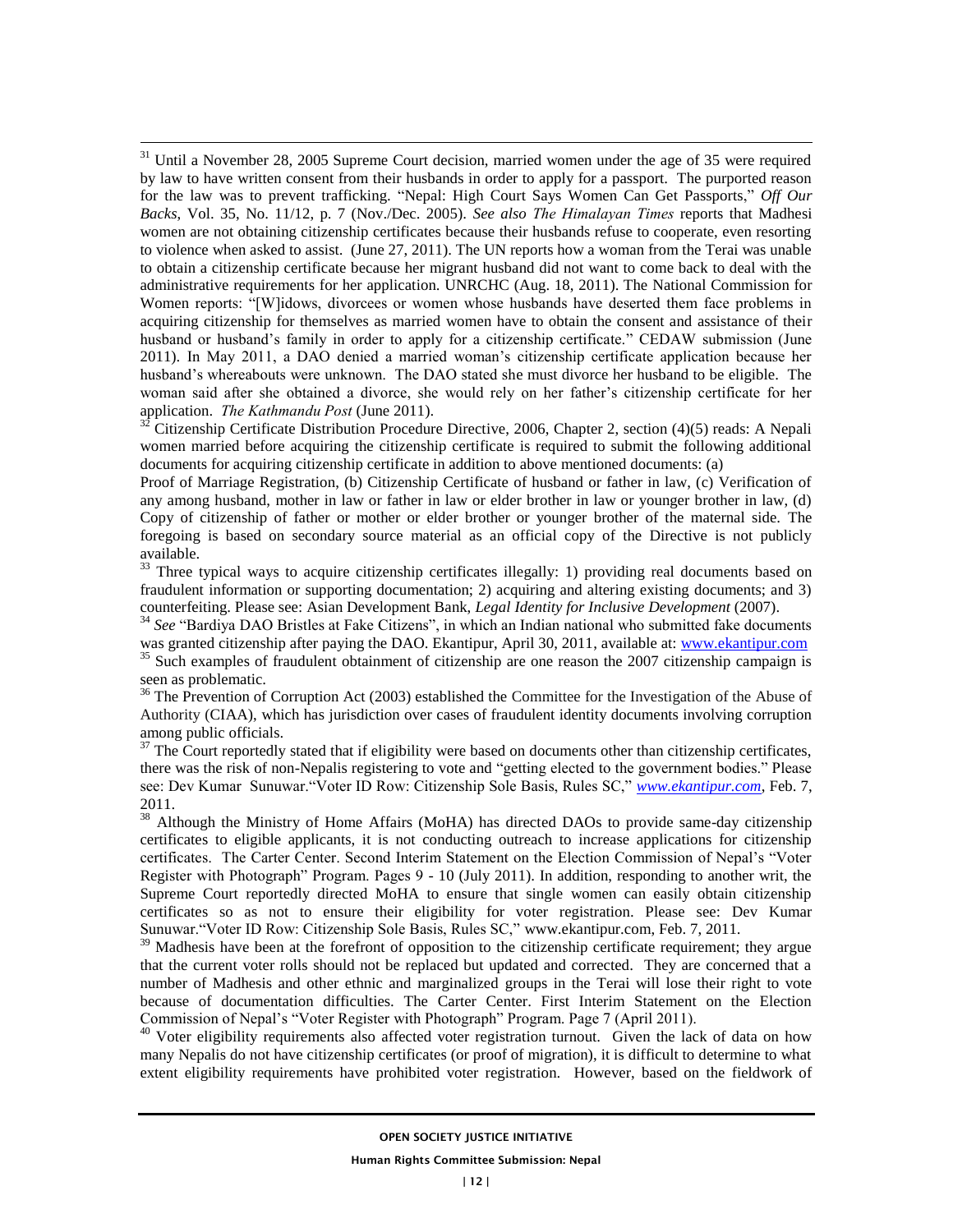$31$  Until a November 28, 2005 Supreme Court decision, married women under the age of 35 were required by law to have written consent from their husbands in order to apply for a passport. The purported reason for the law was to prevent trafficking. "Nepal: High Court Says Women Can Get Passports," *Off Our Backs*, Vol. 35, No. 11/12, p. 7 (Nov./Dec. 2005). *See also The Himalayan Times* reports that Madhesi women are not obtaining citizenship certificates because their husbands refuse to cooperate, even resorting to violence when asked to assist. (June 27, 2011). The UN reports how a woman from the Terai was unable to obtain a citizenship certificate because her migrant husband did not want to come back to deal with the administrative requirements for her application. UNRCHC (Aug. 18, 2011). The National Commission for Women reports: "[W]idows, divorcees or women whose husbands have deserted them face problems in acquiring citizenship for themselves as married women have to obtain the consent and assistance of their husband or husband's family in order to apply for a citizenship certificate." CEDAW submission (June 2011). In May 2011, a DAO denied a married woman's citizenship certificate application because her husband's whereabouts were unknown. The DAO stated she must divorce her husband to be eligible. The woman said after she obtained a divorce, she would rely on her father's citizenship certificate for her application. *The Kathmandu Post* (June 2011).

 $\overline{a}$ 

 $32$  Citizenship Certificate Distribution Procedure Directive, 2006, Chapter 2, section (4)(5) reads: A Nepali women married before acquiring the citizenship certificate is required to submit the following additional documents for acquiring citizenship certificate in addition to above mentioned documents: (a)

Proof of Marriage Registration, (b) Citizenship Certificate of husband or father in law, (c) Verification of any among husband, mother in law or father in law or elder brother in law or younger brother in law, (d) Copy of citizenship of father or mother or elder brother or younger brother of the maternal side. The foregoing is based on secondary source material as an official copy of the Directive is not publicly available.

<sup>33</sup> Three typical ways to acquire citizenship certificates illegally: 1) providing real documents based on fraudulent information or supporting documentation; 2) acquiring and altering existing documents; and 3) counterfeiting. Please see: Asian Development Bank, *Legal Identity for Inclusive Development* (2007).

<sup>34</sup> See "Bardiya DAO Bristles at Fake Citizens", in which an Indian national who submitted fake documents was granted citizenship after paying the DAO. Ekantipur, April 30, 2011, available at: [www.ekantipur.com](http://www.ekantipur.com/)  <sup>35</sup> Such examples of fraudulent obtainment of citizenship are one reason the 2007 citizenship campaign is seen as problematic.

<sup>36</sup> The Prevention of Corruption Act (2003) established the Committee for the Investigation of the Abuse of Authority (CIAA), which has jurisdiction over cases of fraudulent identity documents involving corruption among public officials.

 $37$  The Court reportedly stated that if eligibility were based on documents other than citizenship certificates, there was the risk of non-Nepalis registering to vote and "getting elected to the government bodies." Please see: Dev Kumar Sunuwar."Voter ID Row: Citizenship Sole Basis, Rules SC," *[www.ekantipur.com](http://www.ekantipur.com/)*, Feb. 7, 2011.

<sup>38</sup> Although the Ministry of Home Affairs (MoHA) has directed DAOs to provide same-day citizenship certificates to eligible applicants, it is not conducting outreach to increase applications for citizenship certificates. The Carter Center. Second Interim Statement on the Election Commission of Nepal's "Voter Register with Photograph" Program. Pages 9 - 10 (July 2011). In addition, responding to another writ, the Supreme Court reportedly directed MoHA to ensure that single women can easily obtain citizenship certificates so as not to ensure their eligibility for voter registration. Please see: Dev Kumar Sunuwar."Voter ID Row: Citizenship Sole Basis, Rules SC," [www.ekantipur.com,](http://www.ekantipur.com/) Feb. 7, 2011.

<sup>39</sup> Madhesis have been at the forefront of opposition to the citizenship certificate requirement; they argue that the current voter rolls should not be replaced but updated and corrected. They are concerned that a number of Madhesis and other ethnic and marginalized groups in the Terai will lose their right to vote because of documentation difficulties. The Carter Center. First Interim Statement on the Election Commission of Nepal's "Voter Register with Photograph" Program. Page 7 (April 2011).

<sup>40</sup> Voter eligibility requirements also affected voter registration turnout. Given the lack of data on how many Nepalis do not have citizenship certificates (or proof of migration), it is difficult to determine to what extent eligibility requirements have prohibited voter registration. However, based on the fieldwork of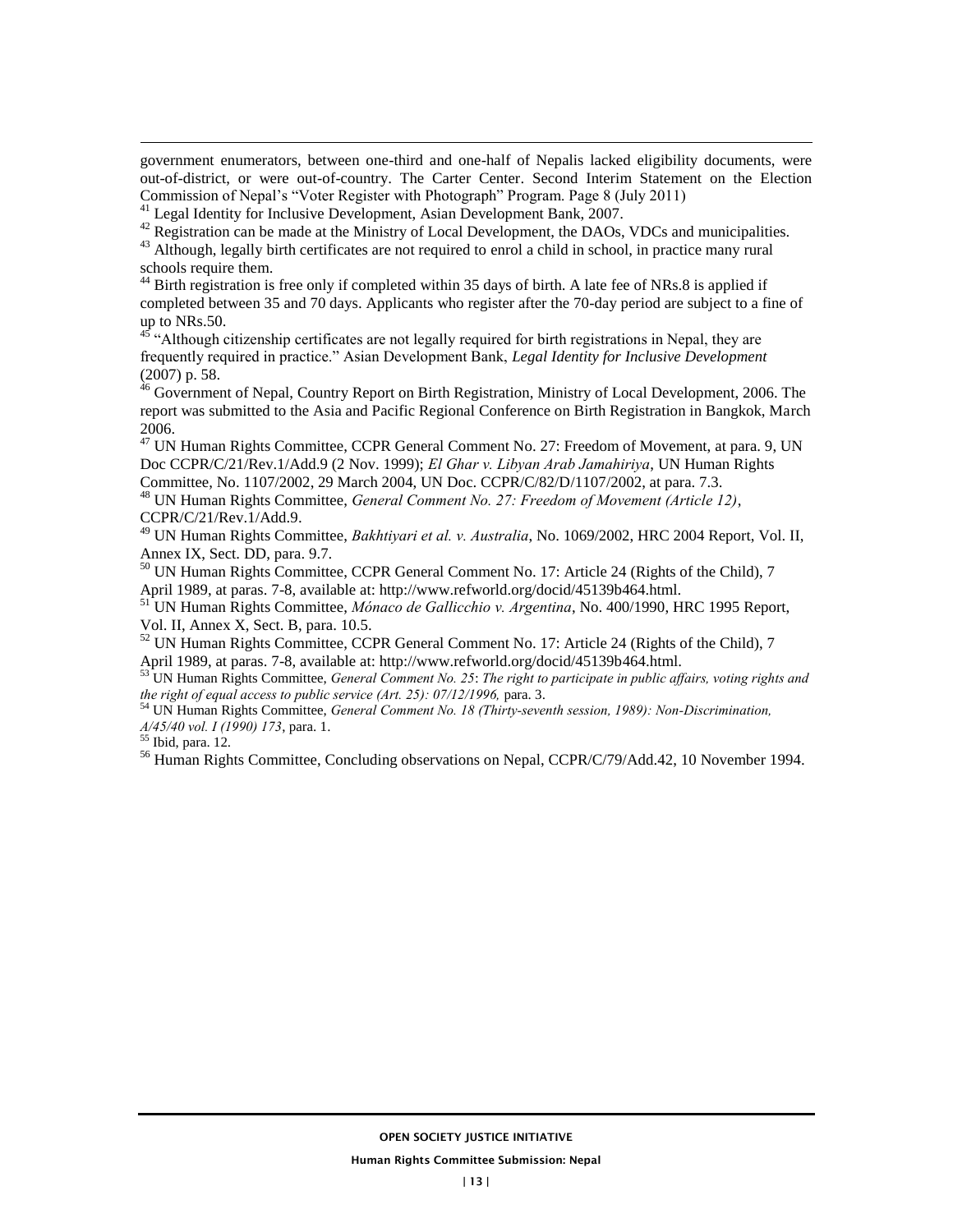government enumerators, between one-third and one-half of Nepalis lacked eligibility documents, were out-of-district, or were out-of-country. The Carter Center. Second Interim Statement on the Election Commission of Nepal's "Voter Register with Photograph" Program. Page 8 (July 2011)

<sup>41</sup> Legal Identity for Inclusive Development, Asian Development Bank, 2007.

<sup>42</sup> Registration can be made at the Ministry of Local Development, the DAOs, VDCs and municipalities.

<sup>43</sup> Although, legally birth certificates are not required to enrol a child in school, in practice many rural schools require them.

<sup>44</sup> Birth registration is free only if completed within 35 days of birth. A late fee of NRs.8 is applied if completed between 35 and 70 days. Applicants who register after the 70-day period are subject to a fine of up to NRs.50.

 $45$  "Although citizenship certificates are not legally required for birth registrations in Nepal, they are frequently required in practice." Asian Development Bank, *Legal Identity for Inclusive Development* (2007) p. 58.

<sup>46</sup> Government of Nepal, Country Report on Birth Registration, Ministry of Local Development, 2006. The report was submitted to the Asia and Pacific Regional Conference on Birth Registration in Bangkok, March 2006.

<sup>47</sup> UN Human Rights Committee, CCPR General Comment No. 27: Freedom of Movement, at para. 9, UN Doc CCPR/C/21/Rev.1/Add.9 (2 Nov. 1999); *El Ghar v. Libyan Arab Jamahiriya*, UN Human Rights Committee, No. 1107/2002, 29 March 2004, UN Doc. CCPR/C/82/D/1107/2002, at para. 7.3.

<sup>48</sup> UN Human Rights Committee, *General Comment No. 27: Freedom of Movement (Article 12)*, CCPR/C/21/Rev.1/Add.9.

<sup>49</sup> UN Human Rights Committee, *Bakhtiyari et al. v. Australia*, No. 1069/2002, HRC 2004 Report, Vol. II, Annex IX, Sect. DD, para. 9.7.

<sup>50</sup> UN Human Rights Committee, CCPR General Comment No. 17: Article 24 (Rights of the Child), 7 April 1989, at paras. 7-8, available at: http://www.refworld.org/docid/45139b464.html.

<sup>51</sup> UN Human Rights Committee, *Mónaco de Gallicchio v. Argentina*, No. 400/1990, HRC 1995 Report, Vol. II, Annex X, Sect. B, para. 10.5.

<sup>52</sup> UN Human Rights Committee, CCPR General Comment No. 17: Article 24 (Rights of the Child), 7 April 1989, at paras. 7-8, available at: http://www.refworld.org/docid/45139b464.html.

<sup>53</sup> UN Human Rights Committee, *General Comment No. 25*: *The right to participate in public affairs, voting rights and the right of equal access to public service (Art. 25): 07/12/1996, para. 3.* 

<sup>54</sup> UN Human Rights Committee, *General Comment No. 18 (Thirty-seventh session, 1989): Non-Discrimination, A/45/40 vol. I (1990) 173*, para. 1.

<sup>55</sup> Ibid, para. 12.

 $\overline{a}$ 

<sup>56</sup> Human Rights Committee, Concluding observations on Nepal, CCPR/C/79/Add.42, 10 November 1994.